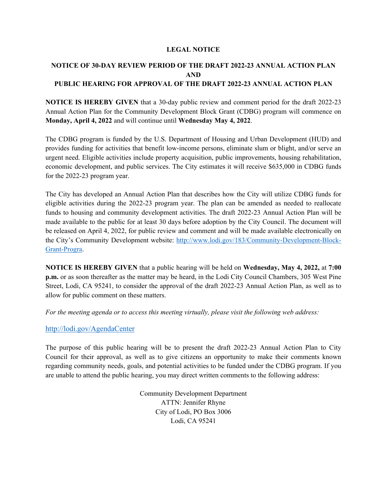#### **LEGAL NOTICE**

# **NOTICE OF 30-DAY REVIEW PERIOD OF THE DRAFT 2022-23 ANNUAL ACTION PLAN AND PUBLIC HEARING FOR APPROVAL OF THE DRAFT 2022-23 ANNUAL ACTION PLAN**

**NOTICE IS HEREBY GIVEN** that a 30-day public review and comment period for the draft 2022-23 Annual Action Plan for the Community Development Block Grant (CDBG) program will commence on **Monday, April 4, 2022** and will continue until **Wednesday May 4, 2022**.

The CDBG program is funded by the U.S. Department of Housing and Urban Development (HUD) and provides funding for activities that benefit low-income persons, eliminate slum or blight, and/or serve an urgent need. Eligible activities include property acquisition, public improvements, housing rehabilitation, economic development, and public services. The City estimates it will receive \$635,000 in CDBG funds for the 2022-23 program year.

The City has developed an Annual Action Plan that describes how the City will utilize CDBG funds for eligible activities during the 2022-23 program year. The plan can be amended as needed to reallocate funds to housing and community development activities. The draft 2022-23 Annual Action Plan will be made available to the public for at least 30 days before adoption by the City Council. The document will be released on April 4, 2022, for public review and comment and will be made available electronically on the City's Community Development website: http://www.lodi.gov/183/Community-Development-Block-Grant-Progra.

**NOTICE IS HEREBY GIVEN** that a public hearing will be held on **Wednesday, May 4, 2022,** at **7:00 p.m.** or as soon thereafter as the matter may be heard, in the Lodi City Council Chambers, 305 West Pine Street, Lodi, CA 95241, to consider the approval of the draft 2022-23 Annual Action Plan, as well as to allow for public comment on these matters.

*For the meeting agenda or to access this meeting virtually, please visit the following web address:* 

## http://lodi.gov/AgendaCenter

The purpose of this public hearing will be to present the draft 2022-23 Annual Action Plan to City Council for their approval, as well as to give citizens an opportunity to make their comments known regarding community needs, goals, and potential activities to be funded under the CDBG program. If you are unable to attend the public hearing, you may direct written comments to the following address:

> Community Development Department ATTN: Jennifer Rhyne City of Lodi, PO Box 3006 Lodi, CA 95241